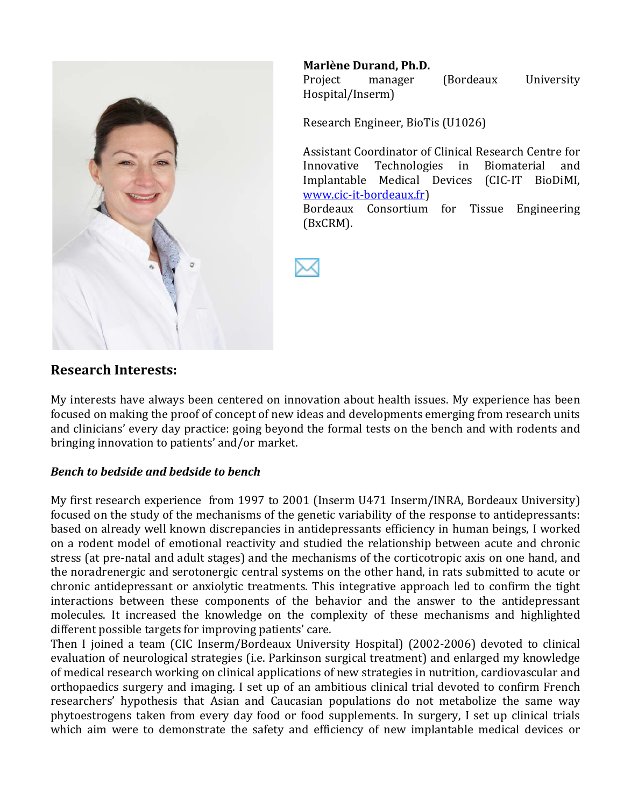

### **Marlène Durand, Ph.D.**

Project manager (Bordeaux University Hospital/Inserm)

Research Engineer, BioTis (U1026)

Assistant Coordinator of Clinical Research Centre for Innovative Technologies in Biomaterial and Implantable Medical Devices (CIC-IT BioDiMI, www.cic-it-bordeaux.fr)

Bordeaux Consortium for Tissue Engineering (BxCRM).

**Research Interests:** 

My interests have always been centered on innovation about health issues. My experience has been focused on making the proof of concept of new ideas and developments emerging from research units and clinicians' every day practice: going beyond the formal tests on the bench and with rodents and bringing innovation to patients' and/or market.

#### **Bench to bedside and bedside to bench**

My first research experience from 1997 to 2001 (Inserm U471 Inserm/INRA, Bordeaux University) focused on the study of the mechanisms of the genetic variability of the response to antidepressants: based on already well known discrepancies in antidepressants efficiency in human beings, I worked on a rodent model of emotional reactivity and studied the relationship between acute and chronic stress (at pre-natal and adult stages) and the mechanisms of the corticotropic axis on one hand, and the noradrenergic and serotonergic central systems on the other hand, in rats submitted to acute or chronic antidepressant or anxiolytic treatments. This integrative approach led to confirm the tight interactions between these components of the behavior and the answer to the antidepressant molecules. It increased the knowledge on the complexity of these mechanisms and highlighted different possible targets for improving patients' care.

Then I joined a team (CIC Inserm/Bordeaux University Hospital) (2002-2006) devoted to clinical evaluation of neurological strategies (i.e. Parkinson surgical treatment) and enlarged my knowledge of medical research working on clinical applications of new strategies in nutrition, cardiovascular and orthopaedics surgery and imaging. I set up of an ambitious clinical trial devoted to confirm French researchers' hypothesis that Asian and Caucasian populations do not metabolize the same way phytoestrogens taken from every day food or food supplements. In surgery, I set up clinical trials which aim were to demonstrate the safety and efficiency of new implantable medical devices or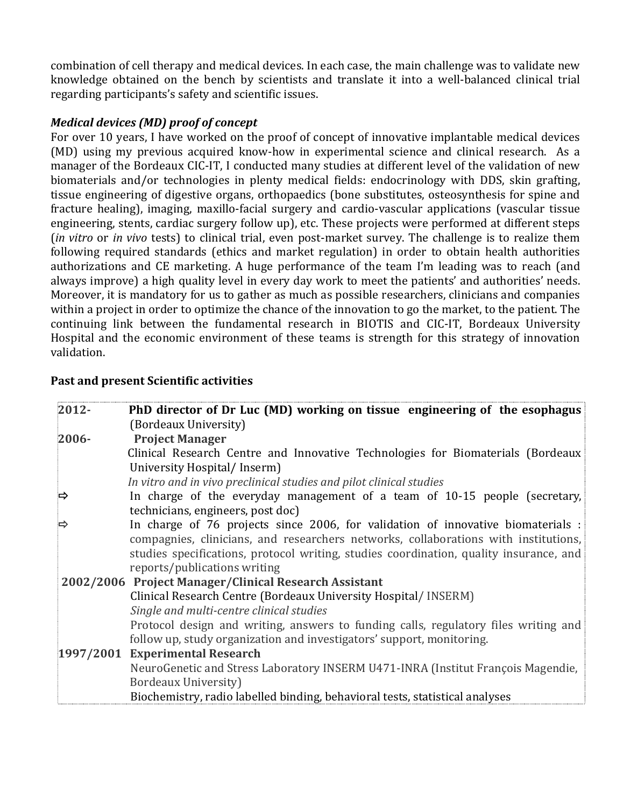combination of cell therapy and medical devices. In each case, the main challenge was to validate new knowledge obtained on the bench by scientists and translate it into a well-balanced clinical trial regarding participants's safety and scientific issues.

### *Medical devices (MD) proof of concept*

For over 10 years, I have worked on the proof of concept of innovative implantable medical devices (MD) using my previous acquired know-how in experimental science and clinical research. As a manager of the Bordeaux CIC-IT, I conducted many studies at different level of the validation of new biomaterials and/or technologies in plenty medical fields: endocrinology with DDS, skin grafting, tissue engineering of digestive organs, orthopaedics (bone substitutes, osteosynthesis for spine and fracture healing), imaging, maxillo-facial surgery and cardio-vascular applications (vascular tissue) engineering, stents, cardiac surgery follow up), etc. These projects were performed at different steps (*in vitro* or *in vivo* tests) to clinical trial, even post-market survey. The challenge is to realize them following required standards (ethics and market regulation) in order to obtain health authorities authorizations and CE marketing. A huge performance of the team I'm leading was to reach (and always improve) a high quality level in every day work to meet the patients' and authorities' needs. Moreover, it is mandatory for us to gather as much as possible researchers, clinicians and companies within a project in order to optimize the chance of the innovation to go the market, to the patient. The continuing link between the fundamental research in BIOTIS and CIC-IT, Bordeaux University Hospital and the economic environment of these teams is strength for this strategy of innovation validation.

### **Past and present Scientific activities**

| 2012-    | PhD director of Dr Luc (MD) working on tissue engineering of the esophagus             |
|----------|----------------------------------------------------------------------------------------|
|          | (Bordeaux University)                                                                  |
| $2006 -$ | <b>Project Manager</b>                                                                 |
|          | Clinical Research Centre and Innovative Technologies for Biomaterials (Bordeaux        |
|          | University Hospital/Inserm)                                                            |
|          | In vitro and in vivo preclinical studies and pilot clinical studies                    |
| ⇨        | In charge of the everyday management of a team of 10-15 people (secretary,             |
|          | technicians, engineers, post doc)                                                      |
|          | In charge of 76 projects since 2006, for validation of innovative biomaterials :       |
|          | compagnies, clinicians, and researchers networks, collaborations with institutions,    |
|          | studies specifications, protocol writing, studies coordination, quality insurance, and |
|          | reports/publications writing                                                           |
|          | 2002/2006 Project Manager/Clinical Research Assistant                                  |
|          | Clinical Research Centre (Bordeaux University Hospital/ INSERM)                        |
|          | Single and multi-centre clinical studies                                               |
|          | Protocol design and writing, answers to funding calls, regulatory files writing and    |
|          | follow up, study organization and investigators' support, monitoring.                  |
|          | 1997/2001 Experimental Research                                                        |
|          | NeuroGenetic and Stress Laboratory INSERM U471-INRA (Institut François Magendie,       |
|          | Bordeaux University)                                                                   |
|          | Biochemistry, radio labelled binding, behavioral tests, statistical analyses           |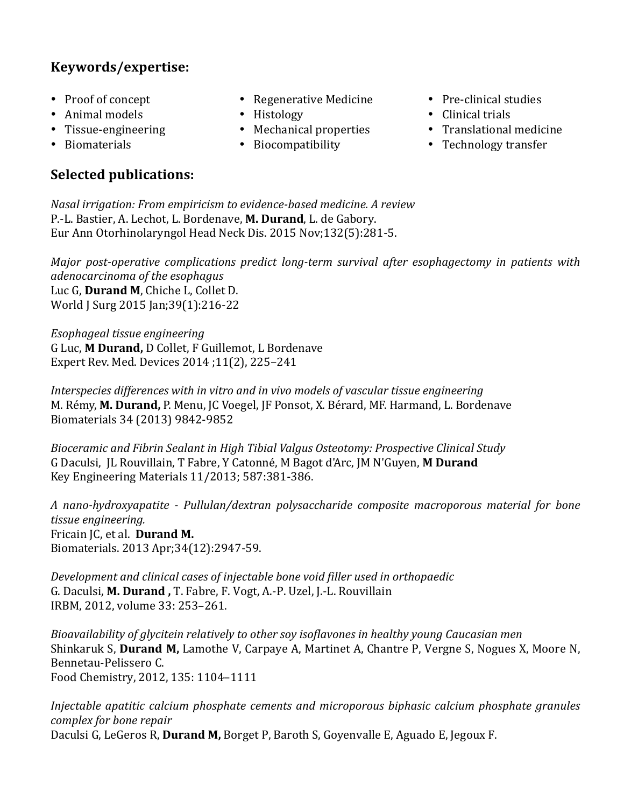## **Keywords/expertise:**

- Proof of concept
- $\bullet$  Animal models
- Tissue-engineering
- Biomaterials

# **Selected publications:**

- Regenerative Medicine
- Histology
- $\bullet$  Mechanical properties
- Biocompatibility
- Pre-clinical studies
- $\bullet$  Clinical trials
- Translational medicine
- Technology transfer

*Nasal irrigation: From empiricism to evidence-based medicine. A review* P.-L. Bastier, A. Lechot, L. Bordenave, M. Durand, L. de Gabory. Eur Ann Otorhinolaryngol Head Neck Dis. 2015 Nov;132(5):281-5.

*Major post-operative complications predict long-term survival after esophagectomy in patients with adenocarcinoma#of#the#esophagus* Luc G. Durand M. Chiche L. Collet D. World J Surg 2015 Jan;39(1):216-22

*Esophageal\*tissue\*engineering* G Luc, M Durand, D Collet, F Guillemot, L Bordenave Expert Rev. Med. Devices 2014;11(2), 225-241

Interspecies differences with in vitro and in vivo models of vascular tissue engineering M. Rémy, M. Durand, P. Menu, JC Voegel, JF Ponsot, X. Bérard, MF. Harmand, L. Bordenave Biomaterials 34 (2013) 9842-9852

Bioceramic and Fibrin Sealant in High Tibial Valgus Osteotomy: Prospective Clinical Study G Daculsi, JL Rouvillain, T Fabre, Y Catonné, M Bagot d'Arc, JM N'Guyen, M Durand Key Engineering Materials 11/2013; 587:381-386.

A nano-hydroxyapatite - Pullulan/dextran polysaccharide composite- macroporous- material- for- bone*tissue&engineering.* Fricain *JC*, et al. Durand M. Biomaterials. 2013 Apr;34(12):2947-59.

*Development and clinical cases of injectable bone void filler used in orthopaedic* G. Daculsi, M. Durand, T. Fabre, F. Vogt, A.-P. Uzel, J.-L. Rouvillain IRBM, 2012, volume 33: 253-261.

*Bioavailability of glycitein relatively to other soy isoflavones in healthy young Caucasian men* Shinkaruk S, **Durand M,** Lamothe V, Carpaye A, Martinet A, Chantre P, Vergne S, Nogues X, Moore N, Bennetau-Pelissero C. Food Chemistry, 2012, 135: 1104-1111

*Injectable apatitic calcium phosphate cements and microporous biphasic calcium phosphate granules complex for bone repair* Daculsi G, LeGeros R, **Durand M,** Borget P, Baroth S, Goyenvalle E, Aguado E, Jegoux F.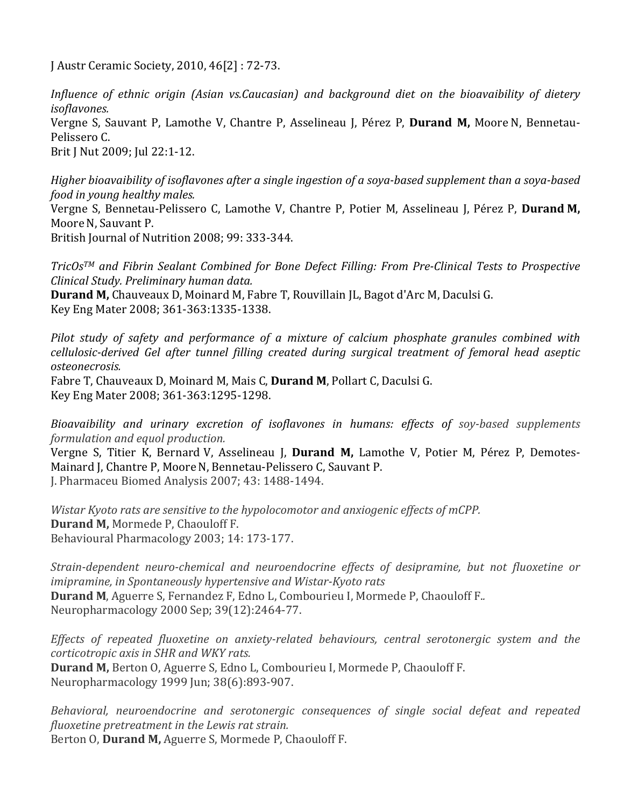J Austr Ceramic Society, 2010, 46[2]: 72-73.

*Influence of ethnic origin (Asian vs.Caucasian) and background diet on the bioavaibility of dietery isoflavones.*

Vergne S, Sauvant P, Lamothe V, Chantre P, Asselineau J, Pérez P, **Durand M,** Moore N, Bennetau-Pelissero C.

Brit J Nut 2009; Jul 22:1-12.

*Higher bioavaibility of isoflavones after a single ingestion of a soya-based supplement than a soya-based food in young healthy males.* 

Vergne S, Bennetau-Pelissero C, Lamothe V, Chantre P, Potier M, Asselineau J, Pérez P, **Durand M,** Moore N. Sauvant P.

British Journal of Nutrition 2008; 99: 333-344.

*TricOs™* and Fibrin Sealant Combined for Bone Defect Filling: From Pre-Clinical Tests to Prospective *Clinical#Study.#Preliminary#human#data.*

**Durand M,** Chauveaux D, Moinard M, Fabre T, Rouvillain JL, Bagot d'Arc M, Daculsi G. Key Eng Mater 2008; 361-363:1335-1338.

*Pilot study of safety and performance of a mixture of calcium phosphate granules combined with cellulosic-derived Gel after tunnel filling created during surgical treatment of femoral head aseptic osteonecrosis.#*

Fabre T, Chauveaux D, Moinard M, Mais C, Durand M, Pollart C, Daculsi G. Key Eng Mater 2008; 361-363:1295-1298.

*Bioavaibility and urinary excretion of isoflavones in humans: effects of soy-based supplements formulation and equol production.* 

Vergne S, Titier K, Bernard V, Asselineau J, **Durand M,** Lamothe V, Potier M, Pérez P, Demotes-Mainard J, Chantre P, Moore N, Bennetau-Pelissero C, Sauvant P. J. Pharmaceu Biomed Analysis 2007; 43: 1488-1494.

*Wistar Kyoto rats are sensitive to the hypolocomotor and anxiogenic effects of mCPP.* **Durand M, Mormede P, Chaouloff F.** Behavioural Pharmacology 2003; 14: 173-177.

*Strain-dependent neuro-chemical and neuroendocrine effects of desipramine, but not fluoxetine or imipramine, in Spontaneously hypertensive and Wistar-Kyoto rats* **Durand M**, Aguerre S, Fernandez F, Edno L, Combourieu I, Mormede P, Chaouloff F. Neuropharmacology 2000 Sep; 39(12):2464-77.

*Effects of repeated fluoxetine on anxiety-related behaviours, central serotonergic system and the corticotropic axis in SHR and WKY rats.* 

**Durand M, Berton O, Aguerre S, Edno L, Combourieu I, Mormede P, Chaouloff F.** Neuropharmacology 1999 Jun; 38(6):893-907.

*Behavioral, neuroendocrine and serotonergic consequences of single social defeat and repeated fluoxetine pretreatment in the Lewis rat strain.* Berton O, **Durand M,** Aguerre S, Mormede P, Chaouloff F.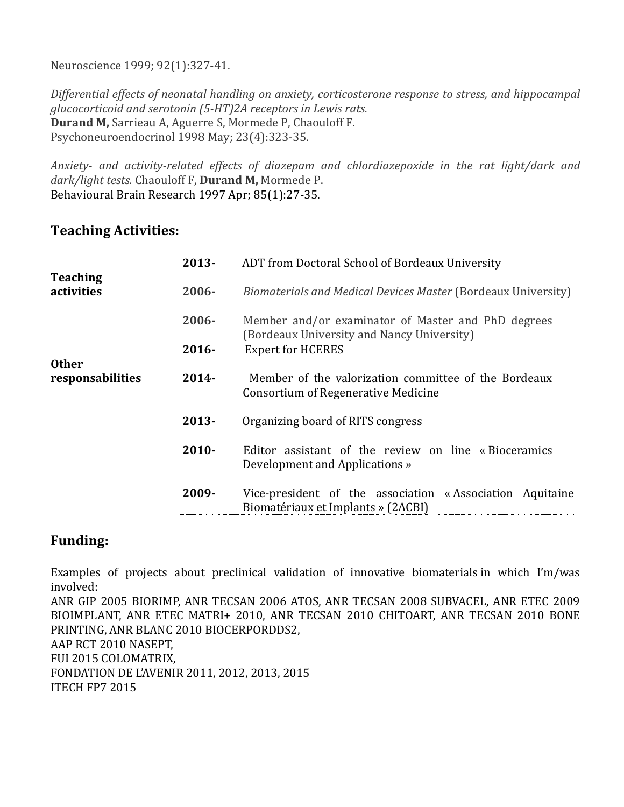Neuroscience 1999; 92(1):327-41.

*Differential effects of neonatal handling on anxiety, corticosterone response to stress, and hippocampal glucocorticoid and serotonin (5-HT)2A receptors in Lewis rats.* **Durand M, Sarrieau A, Aguerre S, Mormede P, Chaouloff F.** Psychoneuroendocrinol 1998 May; 23(4):323-35.

Anxiety- and activity-related effects of diazepam and chlordiazepoxide in the rat light/dark and dark/light tests. Chaouloff F, **Durand M**, Mormede P. Behavioural Brain Research 1997 Apr; 85(1):27-35.

## **Teaching Activities:**

|                                  | $2013 -$ | ADT from Doctoral School of Bordeaux University                                                  |
|----------------------------------|----------|--------------------------------------------------------------------------------------------------|
| <b>Teaching</b><br>activities    | 2006-    | Biomaterials and Medical Devices Master (Bordeaux University)                                    |
|                                  | $2006 -$ | Member and/or examinator of Master and PhD degrees<br>(Bordeaux University and Nancy University) |
|                                  | $2016 -$ | <b>Expert for HCERES</b>                                                                         |
| <b>Other</b><br>responsabilities | $2014 -$ | Member of the valorization committee of the Bordeaux<br>Consortium of Regenerative Medicine      |
|                                  | $2013 -$ | Organizing board of RITS congress                                                                |
|                                  | $2010 -$ | Editor assistant of the review on line «Bioceramics<br>Development and Applications »            |
|                                  | 2009-    | Vice-president of the association «Association Aquitaine<br>Biomatériaux et Implants » (2ACBI)   |

## **Funding:**

Examples of projects about preclinical validation of innovative biomaterials in which I'm/was involved:

ANR GIP 2005 BIORIMP, ANR TECSAN 2006 ATOS, ANR TECSAN 2008 SUBVACEL, ANR ETEC 2009 BIOIMPLANT, ANR ETEC MATRI+ 2010, ANR TECSAN 2010 CHITOART, ANR TECSAN 2010 BONE PRINTING, ANR BLANC 2010 BIOCERPORDDS2, AAP RCT 2010 NASEPT, FUI 2015 COLOMATRIX, FONDATION DE L'AVENIR 2011, 2012, 2013, 2015

ITECH FP7 2015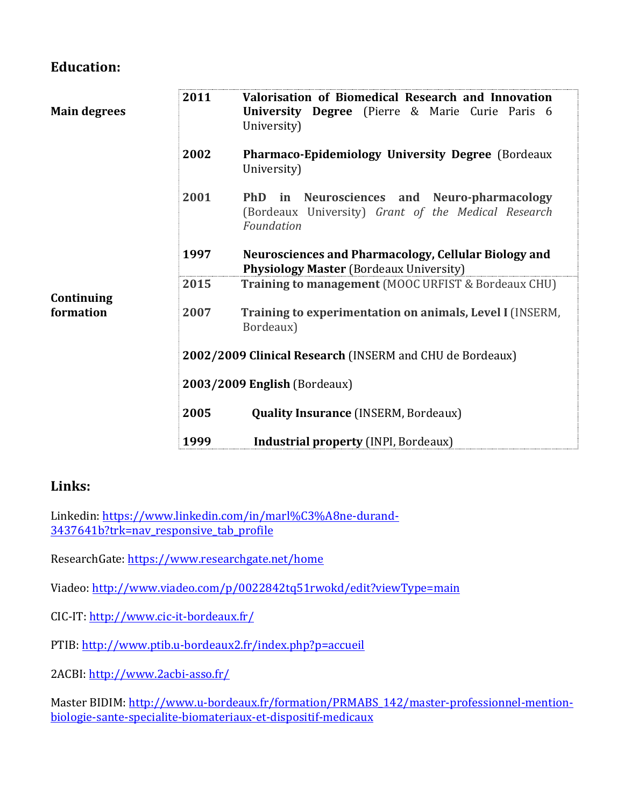## **Education:**

| <b>Main degrees</b>     | 2011 | Valorisation of Biomedical Research and Innovation<br><b>University Degree</b> (Pierre & Marie Curie Paris 6<br>University)   |
|-------------------------|------|-------------------------------------------------------------------------------------------------------------------------------|
|                         | 2002 | Pharmaco-Epidemiology University Degree (Bordeaux<br>University)                                                              |
|                         | 2001 | <b>PhD</b><br>Neurosciences and Neuro-pharmacology<br>in<br>(Bordeaux University) Grant of the Medical Research<br>Foundation |
|                         | 1997 | Neurosciences and Pharmacology, Cellular Biology and<br><b>Physiology Master (Bordeaux University)</b>                        |
|                         | 2015 | <b>Training to management</b> (MOOC URFIST & Bordeaux CHU)                                                                    |
| Continuing<br>formation | 2007 | Training to experimentation on animals, Level I (INSERM,<br>Bordeaux)                                                         |
|                         |      | 2002/2009 Clinical Research (INSERM and CHU de Bordeaux)                                                                      |
|                         |      | 2003/2009 English (Bordeaux)                                                                                                  |
|                         | 2005 | <b>Quality Insurance (INSERM, Bordeaux)</b>                                                                                   |
|                         | 1999 | <b>Industrial property (INPI, Bordeaux)</b>                                                                                   |

## **Links:**

Linkedin: https://www.linkedin.com/in/marl%C3%A8ne-durand-3437641b?trk=nav\_responsive\_tab\_profile

ResearchGate: https://www.researchgate.net/home

Viadeo: http://www.viadeo.com/p/0022842tq51rwokd/edit?viewType=main

CIC-IT: http://www.cic-it-bordeaux.fr/

PTIB: http://www.ptib.u-bordeaux2.fr/index.php?p=accueil

2ACBI: http://www.2acbi-asso.fr/

Master BIDIM: http://www.u-bordeaux.fr/formation/PRMABS\_142/master-professionnel-mentionbiologie-sante-specialite-biomateriaux-et-dispositif-medicaux